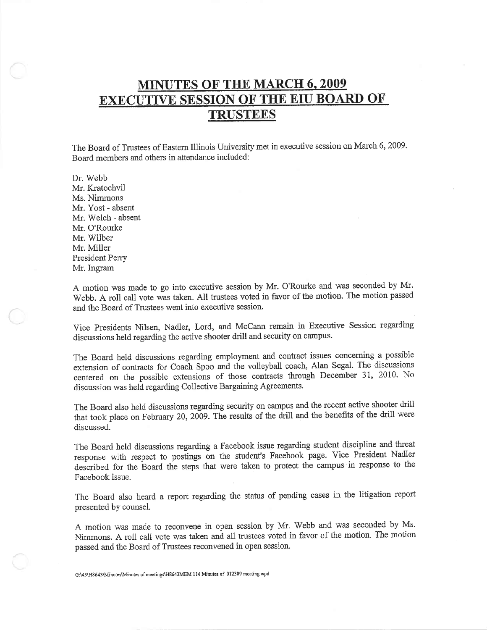# **MINUTES OF THE MARCH 6, 2009 EXECUTIVE SESSION OF THE EIU BOARD OF TRUSTEES**

The Board of Trustees of Eastern Illinois University met in executive session on March 6, 2009. Board members and others in attendance included:

Dr. Webb Mr. Kratochvil Ms. Nimmons Mr. Yost - absent Mr. Welch - absent Mr. O'Rourke Mr. Wilber Mr. Miller President Perry Mr. Ingram

A motion was made to go into executive session by Mr. O'Rourke and was seconded by Mr. Webb. A roll call vote was taken. All trustees voted in favor of the motion. The motion passed and the Board of Trustees went into executive session.

Vice Presidents Nilsen, Nadler, Lord, and McCann remain in Executive Session regarding discussions held regarding the active shooter drill and security on campus.

The Board held discussions regarding employment and contract issues concerning a possible extension of contracts for Coach Spoo and the volleyball coach, Alan Segal. The discussions centered on the possible extensions of those contracts through December 31, 2010. No discussion was held regarding Collective Bargaining Agreements.

The Board also held discussions regarding security on campus and the recent active shooter drill that took place on February 20, 2009. The results of the drill and the benefits of the drill were discussed.

The Board held discussions regarding a Facebook issue regarding student discipline and threat response with respect to postings on the student's Facebook page. Vice President Nadler described for the Board the steps that were taken to protect the campus in response to the Facebook issue.

The Board also heard a report regarding the status of pending cases in the litigation report presented by counsel.

A motion was made to reconvene in open session by Mr. Webb and was seconded by Ms. Nimmons. A roll call vote was taken and all trustees voted in favor of the motion. The motion passed and the Board of Trustees reconvened in open session.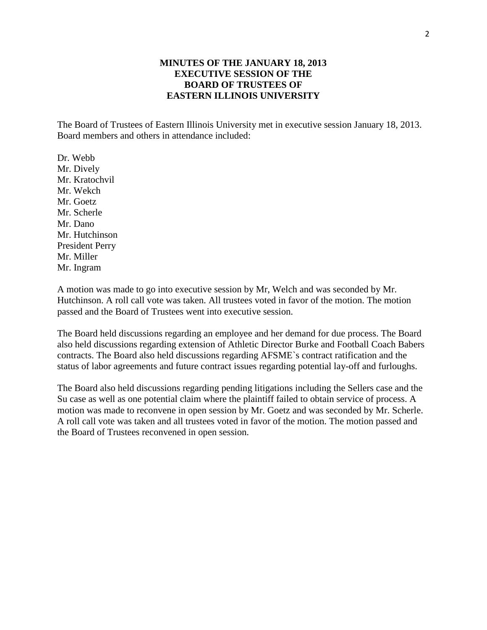# **MINUTES OF THE JANUARY 18, 2013 EXECUTIVE SESSION OF THE BOARD OF TRUSTEES OF EASTERN ILLINOIS UNIVERSITY**

The Board of Trustees of Eastern Illinois University met in executive session January 18, 2013. Board members and others in attendance included:

Dr. Webb Mr. Dively Mr. Kratochvil Mr. Wekch Mr. Goetz Mr. Scherle Mr. Dano Mr. Hutchinson President Perry Mr. Miller Mr. Ingram

A motion was made to go into executive session by Mr, Welch and was seconded by Mr. Hutchinson. A roll call vote was taken. All trustees voted in favor of the motion. The motion passed and the Board of Trustees went into executive session.

The Board held discussions regarding an employee and her demand for due process. The Board also held discussions regarding extension of Athletic Director Burke and Football Coach Babers contracts. The Board also held discussions regarding AFSME`s contract ratification and the status of labor agreements and future contract issues regarding potential lay-off and furloughs.

The Board also held discussions regarding pending litigations including the Sellers case and the Su case as well as one potential claim where the plaintiff failed to obtain service of process. A motion was made to reconvene in open session by Mr. Goetz and was seconded by Mr. Scherle. A roll call vote was taken and all trustees voted in favor of the motion. The motion passed and the Board of Trustees reconvened in open session.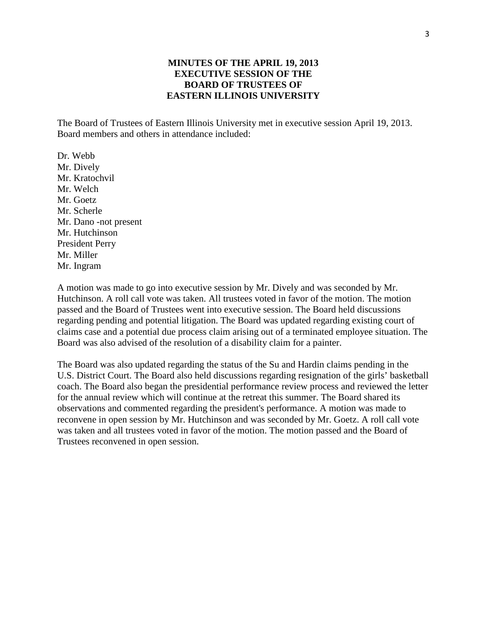# **MINUTES OF THE APRIL 19, 2013 EXECUTIVE SESSION OF THE BOARD OF TRUSTEES OF EASTERN ILLINOIS UNIVERSITY**

The Board of Trustees of Eastern Illinois University met in executive session April 19, 2013. Board members and others in attendance included:

Dr. Webb Mr. Dively Mr. Kratochvil Mr. Welch Mr. Goetz Mr. Scherle Mr. Dano -not present Mr. Hutchinson President Perry Mr. Miller Mr. Ingram

A motion was made to go into executive session by Mr. Dively and was seconded by Mr. Hutchinson. A roll call vote was taken. All trustees voted in favor of the motion. The motion passed and the Board of Trustees went into executive session. The Board held discussions regarding pending and potential litigation. The Board was updated regarding existing court of claims case and a potential due process claim arising out of a terminated employee situation. The Board was also advised of the resolution of a disability claim for a painter.

The Board was also updated regarding the status of the Su and Hardin claims pending in the U.S. District Court. The Board also held discussions regarding resignation of the girls' basketball coach. The Board also began the presidential performance review process and reviewed the letter for the annual review which will continue at the retreat this summer. The Board shared its observations and commented regarding the president's performance. A motion was made to reconvene in open session by Mr. Hutchinson and was seconded by Mr. Goetz. A roll call vote was taken and all trustees voted in favor of the motion. The motion passed and the Board of Trustees reconvened in open session.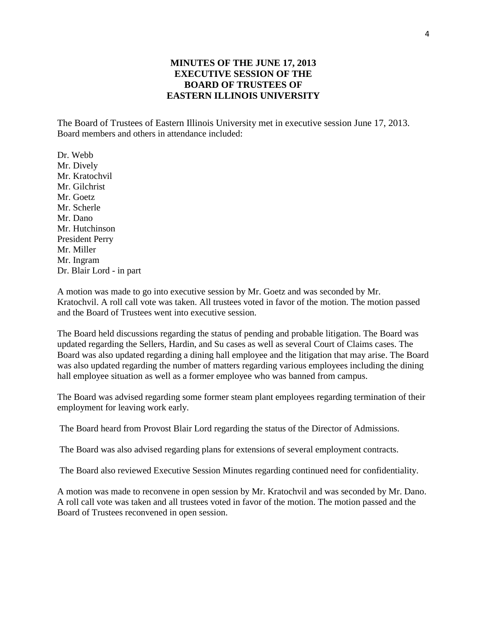# **MINUTES OF THE JUNE 17, 2013 EXECUTIVE SESSION OF THE BOARD OF TRUSTEES OF EASTERN ILLINOIS UNIVERSITY**

The Board of Trustees of Eastern Illinois University met in executive session June 17, 2013. Board members and others in attendance included:

Dr. Webb Mr. Dively Mr. Kratochvil Mr. Gilchrist Mr. Goetz Mr. Scherle Mr. Dano Mr. Hutchinson President Perry Mr. Miller Mr. Ingram Dr. Blair Lord - in part

A motion was made to go into executive session by Mr. Goetz and was seconded by Mr. Kratochvil. A roll call vote was taken. All trustees voted in favor of the motion. The motion passed and the Board of Trustees went into executive session.

The Board held discussions regarding the status of pending and probable litigation. The Board was updated regarding the Sellers, Hardin, and Su cases as well as several Court of Claims cases. The Board was also updated regarding a dining hall employee and the litigation that may arise. The Board was also updated regarding the number of matters regarding various employees including the dining hall employee situation as well as a former employee who was banned from campus.

The Board was advised regarding some former steam plant employees regarding termination of their employment for leaving work early.

The Board heard from Provost Blair Lord regarding the status of the Director of Admissions.

The Board was also advised regarding plans for extensions of several employment contracts.

The Board also reviewed Executive Session Minutes regarding continued need for confidentiality.

A motion was made to reconvene in open session by Mr. Kratochvil and was seconded by Mr. Dano. A roll call vote was taken and all trustees voted in favor of the motion. The motion passed and the Board of Trustees reconvened in open session.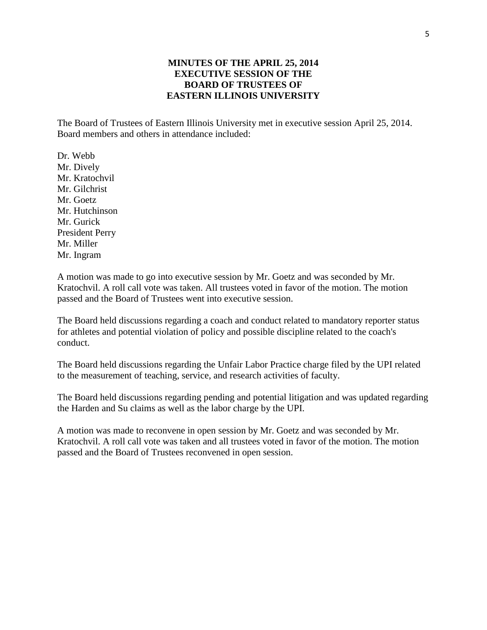# **MINUTES OF THE APRIL 25, 2014 EXECUTIVE SESSION OF THE BOARD OF TRUSTEES OF EASTERN ILLINOIS UNIVERSITY**

The Board of Trustees of Eastern Illinois University met in executive session April 25, 2014. Board members and others in attendance included:

Dr. Webb Mr. Dively Mr. Kratochvil Mr. Gilchrist Mr. Goetz Mr. Hutchinson Mr. Gurick President Perry Mr. Miller Mr. Ingram

A motion was made to go into executive session by Mr. Goetz and was seconded by Mr. Kratochvil. A roll call vote was taken. All trustees voted in favor of the motion. The motion passed and the Board of Trustees went into executive session.

The Board held discussions regarding a coach and conduct related to mandatory reporter status for athletes and potential violation of policy and possible discipline related to the coach's conduct.

The Board held discussions regarding the Unfair Labor Practice charge filed by the UPI related to the measurement of teaching, service, and research activities of faculty.

The Board held discussions regarding pending and potential litigation and was updated regarding the Harden and Su claims as well as the labor charge by the UPI.

A motion was made to reconvene in open session by Mr. Goetz and was seconded by Mr. Kratochvil. A roll call vote was taken and all trustees voted in favor of the motion. The motion passed and the Board of Trustees reconvened in open session.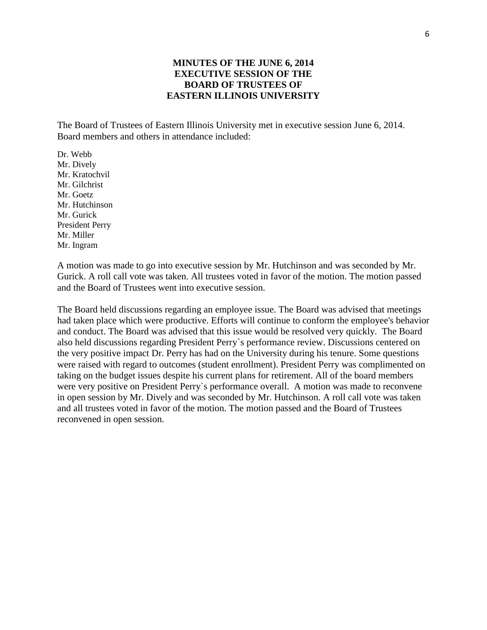# **MINUTES OF THE JUNE 6, 2014 EXECUTIVE SESSION OF THE BOARD OF TRUSTEES OF EASTERN ILLINOIS UNIVERSITY**

The Board of Trustees of Eastern Illinois University met in executive session June 6, 2014. Board members and others in attendance included:

Dr. Webb Mr. Dively Mr. Kratochvil Mr. Gilchrist Mr. Goetz Mr. Hutchinson Mr. Gurick President Perry Mr. Miller Mr. Ingram

A motion was made to go into executive session by Mr. Hutchinson and was seconded by Mr. Gurick. A roll call vote was taken. All trustees voted in favor of the motion. The motion passed and the Board of Trustees went into executive session.

The Board held discussions regarding an employee issue. The Board was advised that meetings had taken place which were productive. Efforts will continue to conform the employee's behavior and conduct. The Board was advised that this issue would be resolved very quickly. The Board also held discussions regarding President Perry`s performance review. Discussions centered on the very positive impact Dr. Perry has had on the University during his tenure. Some questions were raised with regard to outcomes (student enrollment). President Perry was complimented on taking on the budget issues despite his current plans for retirement. All of the board members were very positive on President Perry`s performance overall. A motion was made to reconvene in open session by Mr. Dively and was seconded by Mr. Hutchinson. A roll call vote was taken and all trustees voted in favor of the motion. The motion passed and the Board of Trustees reconvened in open session.